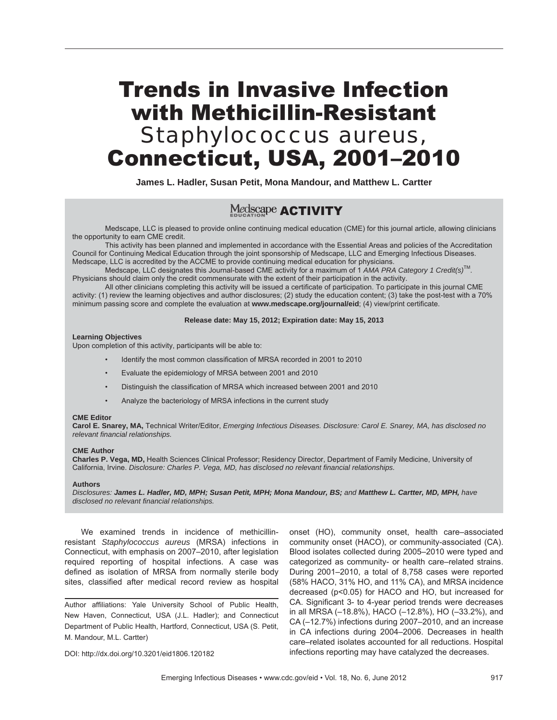# Trends in Invasive Infection with Methicillin-Resistant *Staphylococcus aureus,* Connecticut, USA, 2001–2010

**James L. Hadler, Susan Petit, Mona Mandour, and Matthew L. Cartter**

### Medscape **ACTIVITY**

Medscape, LLC is pleased to provide online continuing medical education (CME) for this journal article, allowing clinicians the opportunity to earn CME credit.

This activity has been planned and implemented in accordance with the Essential Areas and policies of the Accreditation Council for Continuing Medical Education through the joint sponsorship of Medscape, LLC and Emerging Infectious Diseases. Medscape, LLC is accredited by the ACCME to provide continuing medical education for physicians.

Medscape, LLC designates this Journal-based CME activity for a maximum of 1 *AMA PRA Category 1 Credit(s)*TM. Physicians should claim only the credit commensurate with the extent of their participation in the activity.

All other clinicians completing this activity will be issued a certificate of participation. To participate in this journal CME activity: (1) review the learning objectives and author disclosures; (2) study the education content; (3) take the post-test with a 70% minimum passing score and complete the evaluation at **www.medscape.org/journal/eid**; (4) view/print certificate.

#### **Release date: May 15, 2012; Expiration date: May 15, 2013**

#### **Learning Objectives**

Upon completion of this activity, participants will be able to:

- Identify the most common classification of MRSA recorded in 2001 to 2010
- Evaluate the epidemiology of MRSA between 2001 and 2010
- Distinguish the classification of MRSA which increased between 2001 and 2010
- Analyze the bacteriology of MRSA infections in the current study

#### **CME Editor**

**Carol E. Snarey, MA,** Technical Writer/Editor, *Emerging Infectious Diseases. Disclosure: Carol E. Snarey, MA, has disclosed no relevant financial relationships.*

#### **CME Author**

**Charles P. Vega, MD,** Health Sciences Clinical Professor; Residency Director, Department of Family Medicine, University of California, Irvine. *Disclosure: Charles P. Vega, MD, has disclosed no relevant financial relationships.*

#### **Authors**

*Disclosures: James L. Hadler, MD, MPH; Susan Petit, MPH; Mona Mandour, BS; and Matthew L. Cartter, MD, MPH, have disclosed no relevant financial relationships.* 

We examined trends in incidence of methicillinresistant *Staphylococcus aureus* (MRSA) infections in Connecticut, with emphasis on 2007–2010, after legislation required reporting of hospital infections. A case was defined as isolation of MRSA from normally sterile body sites, classified after medical record review as hospital

Author affiliations: Yale University School of Public Health, New Haven, Connecticut, USA (J.L. Hadler); and Connecticut Department of Public Health, Hartford, Connecticut, USA (S. Petit, M. Mandour, M.L. Cartter)

onset (HO), community onset, health care–associated community onset (HACO), or community-associated (CA). Blood isolates collected during 2005–2010 were typed and categorized as community- or health care–related strains. During 2001–2010, a total of 8,758 cases were reported (58% HACO, 31% HO, and 11% CA), and MRSA incidence decreased (p<0.05) for HACO and HO, but increased for CA. Significant 3- to 4-year period trends were decreases in all MRSA (–18.8%), HACO (–12.8%), HO (–33.2%), and CA (–12.7%) infections during 2007–2010, and an increase in CA infections during 2004–2006. Decreases in health care–related isolates accounted for all reductions. Hospital infections reporting may have catalyzed the decreases.

DOI: http://dx.doi.org/10.3201/eid1806.120182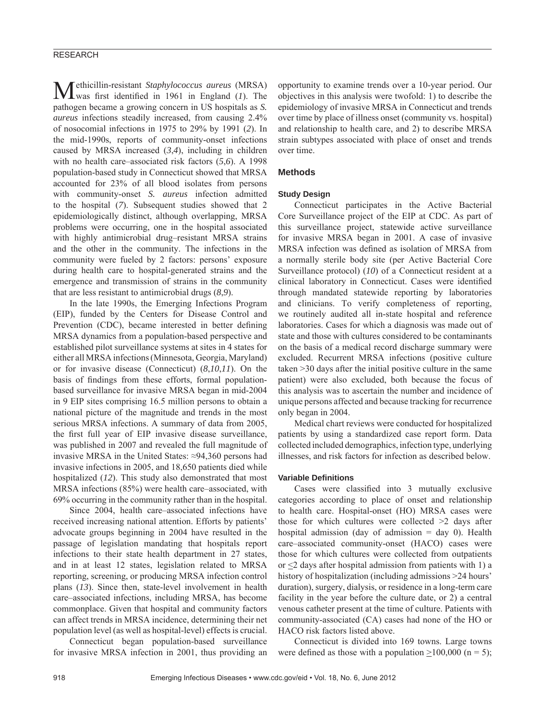#### RESEARCH

Methicillin-resistant *Staphylococcus aureus* (MRSA) was first identified in 1961 in England (*1*). The pathogen became a growing concern in US hospitals as *S. aureus* infections steadily increased, from causing 2.4% of nosocomial infections in 1975 to 29% by 1991 (*2*). In the mid-1990s, reports of community-onset infections caused by MRSA increased (*3*,*4*), including in children with no health care–associated risk factors (*5*,*6*). A 1998 population-based study in Connecticut showed that MRSA accounted for 23% of all blood isolates from persons with community-onset *S. aureus* infection admitted to the hospital (*7*). Subsequent studies showed that 2 epidemiologically distinct, although overlapping, MRSA problems were occurring, one in the hospital associated with highly antimicrobial drug–resistant MRSA strains and the other in the community. The infections in the community were fueled by 2 factors: persons' exposure during health care to hospital-generated strains and the emergence and transmission of strains in the community that are less resistant to antimicrobial drugs (*8*,*9*).

In the late 1990s, the Emerging Infections Program (EIP), funded by the Centers for Disease Control and Prevention (CDC), became interested in better defining MRSA dynamics from a population-based perspective and established pilot surveillance systems at sites in 4 states for either all MRSA infections (Minnesota, Georgia, Maryland) or for invasive disease (Connecticut) (*8*,*10*,*11*). On the basis of findings from these efforts, formal populationbased surveillance for invasive MRSA began in mid-2004 in 9 EIP sites comprising 16.5 million persons to obtain a national picture of the magnitude and trends in the most serious MRSA infections. A summary of data from 2005, the first full year of EIP invasive disease surveillance, was published in 2007 and revealed the full magnitude of invasive MRSA in the United States: ≈94,360 persons had invasive infections in 2005, and 18,650 patients died while hospitalized (*12*). This study also demonstrated that most MRSA infections (85%) were health care–associated, with 69% occurring in the community rather than in the hospital.

Since 2004, health care–associated infections have received increasing national attention. Efforts by patients' advocate groups beginning in 2004 have resulted in the passage of legislation mandating that hospitals report infections to their state health department in 27 states, and in at least 12 states, legislation related to MRSA reporting, screening, or producing MRSA infection control plans (*13*). Since then, state-level involvement in health care–associated infections, including MRSA, has become commonplace. Given that hospital and community factors can affect trends in MRSA incidence, determining their net population level (as well as hospital-level) effects is crucial.

Connecticut began population-based surveillance for invasive MRSA infection in 2001, thus providing an opportunity to examine trends over a 10-year period. Our objectives in this analysis were twofold: 1) to describe the epidemiology of invasive MRSA in Connecticut and trends over time by place of illness onset (community vs. hospital) and relationship to health care, and 2) to describe MRSA strain subtypes associated with place of onset and trends over time.

#### **Methods**

#### **Study Design**

Connecticut participates in the Active Bacterial Core Surveillance project of the EIP at CDC. As part of this surveillance project, statewide active surveillance for invasive MRSA began in 2001. A case of invasive MRSA infection was defined as isolation of MRSA from a normally sterile body site (per Active Bacterial Core Surveillance protocol) (*10*) of a Connecticut resident at a clinical laboratory in Connecticut. Cases were identified through mandated statewide reporting by laboratories and clinicians. To verify completeness of reporting, we routinely audited all in-state hospital and reference laboratories. Cases for which a diagnosis was made out of state and those with cultures considered to be contaminants on the basis of a medical record discharge summary were excluded. Recurrent MRSA infections (positive culture taken >30 days after the initial positive culture in the same patient) were also excluded, both because the focus of this analysis was to ascertain the number and incidence of unique persons affected and because tracking for recurrence only began in 2004.

Medical chart reviews were conducted for hospitalized patients by using a standardized case report form. Data collected included demographics, infection type, underlying illnesses, and risk factors for infection as described below.

#### **Variable Defi nitions**

Cases were classified into 3 mutually exclusive categories according to place of onset and relationship to health care. Hospital-onset (HO) MRSA cases were those for which cultures were collected  $\geq 2$  days after hospital admission (day of admission  $=$  day 0). Health care–associated community-onset (HACO) cases were those for which cultures were collected from outpatients or  $\leq$ 2 days after hospital admission from patients with 1) a history of hospitalization (including admissions >24 hours' duration), surgery, dialysis, or residence in a long-term care facility in the year before the culture date, or 2) a central venous catheter present at the time of culture. Patients with community-associated (CA) cases had none of the HO or HACO risk factors listed above.

Connecticut is divided into 169 towns. Large towns were defined as those with a population  $>100,000$  (n = 5);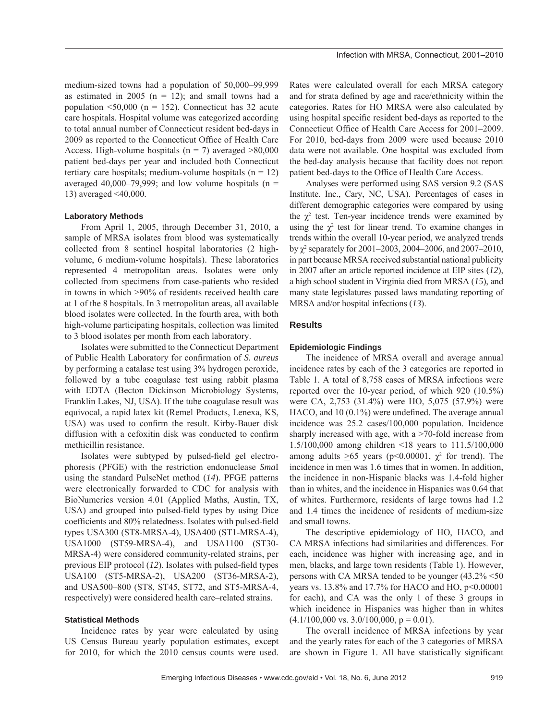medium-sized towns had a population of 50,000–99,999 as estimated in 2005 ( $n = 12$ ); and small towns had a population  $\leq 50,000$  (n = 152). Connecticut has 32 acute care hospitals. Hospital volume was categorized according to total annual number of Connecticut resident bed-days in 2009 as reported to the Connecticut Office of Health Care Access. High-volume hospitals ( $n = 7$ ) averaged  $>80,000$ patient bed-days per year and included both Connecticut tertiary care hospitals; medium-volume hospitals  $(n = 12)$ averaged 40,000–79,999; and low volume hospitals ( $n =$ 13) averaged <40,000.

#### **Laboratory Methods**

From April 1, 2005, through December 31, 2010, a sample of MRSA isolates from blood was systematically collected from 8 sentinel hospital laboratories (2 highvolume, 6 medium-volume hospitals). These laboratories represented 4 metropolitan areas. Isolates were only collected from specimens from case-patients who resided in towns in which >90% of residents received health care at 1 of the 8 hospitals. In 3 metropolitan areas, all available blood isolates were collected. In the fourth area, with both high-volume participating hospitals, collection was limited to 3 blood isolates per month from each laboratory.

Isolates were submitted to the Connecticut Department of Public Health Laboratory for confirmation of *S. aureus* by performing a catalase test using 3% hydrogen peroxide, followed by a tube coagulase test using rabbit plasma with EDTA (Becton Dickinson Microbiology Systems, Franklin Lakes, NJ, USA). If the tube coagulase result was equivocal, a rapid latex kit (Remel Products, Lenexa, KS, USA) was used to confirm the result. Kirby-Bauer disk diffusion with a cefoxitin disk was conducted to confirm methicillin resistance.

Isolates were subtyped by pulsed-field gel electrophoresis (PFGE) with the restriction endonuclease *Sma*I using the standard PulseNet method (*14*). PFGE patterns were electronically forwarded to CDC for analysis with BioNumerics version 4.01 (Applied Maths, Austin, TX, USA) and grouped into pulsed-field types by using Dice coefficients and 80% relatedness. Isolates with pulsed-field types USA300 (ST8-MRSA-4), USA400 (ST1-MRSA-4), USA1000 (ST59-MRSA-4), and USA1100 (ST30- MRSA-4) were considered community-related strains, per previous EIP protocol (12). Isolates with pulsed-field types USA100 (ST5-MRSA-2), USA200 (ST36-MRSA-2), and USA500–800 (ST8, ST45, ST72, and ST5-MRSA-4, respectively) were considered health care–related strains.

#### **Statistical Methods**

Incidence rates by year were calculated by using US Census Bureau yearly population estimates, except for 2010, for which the 2010 census counts were used.

Rates were calculated overall for each MRSA category and for strata defined by age and race/ethnicity within the categories. Rates for HO MRSA were also calculated by using hospital specific resident bed-days as reported to the Connecticut Office of Health Care Access for 2001–2009. For 2010, bed-days from 2009 were used because 2010 data were not available. One hospital was excluded from the bed-day analysis because that facility does not report patient bed-days to the Office of Health Care Access.

Analyses were performed using SAS version 9.2 (SAS Institute. Inc., Cary, NC, USA). Percentages of cases in different demographic categories were compared by using the  $\chi^2$  test. Ten-year incidence trends were examined by using the  $\chi^2$  test for linear trend. To examine changes in trends within the overall 10-year period, we analyzed trends by χ<sup>2</sup> separately for 2001–2003, 2004–2006, and 2007–2010, in part because MRSA received substantial national publicity in 2007 after an article reported incidence at EIP sites (*12*), a high school student in Virginia died from MRSA (*15*), and many state legislatures passed laws mandating reporting of MRSA and/or hospital infections (*13*).

#### **Results**

#### **Epidemiologic Findings**

The incidence of MRSA overall and average annual incidence rates by each of the 3 categories are reported in Table 1. A total of 8,758 cases of MRSA infections were reported over the 10-year period, of which 920 (10.5%) were CA, 2,753 (31.4%) were HO, 5,075 (57.9%) were HACO, and  $10(0.1\%)$  were undefined. The average annual incidence was 25.2 cases/100,000 population. Incidence sharply increased with age, with a  $>70$ -fold increase from 1.5/100,000 among children <18 years to 111.5/100,000 among adults  $\geq 65$  years (p<0.00001,  $\chi^2$  for trend). The incidence in men was 1.6 times that in women. In addition, the incidence in non-Hispanic blacks was 1.4-fold higher than in whites, and the incidence in Hispanics was 0.64 that of whites. Furthermore, residents of large towns had 1.2 and 1.4 times the incidence of residents of medium-size and small towns.

The descriptive epidemiology of HO, HACO, and CA MRSA infections had similarities and differences. For each, incidence was higher with increasing age, and in men, blacks, and large town residents (Table 1). However, persons with CA MRSA tended to be younger (43.2% <50 years vs. 13.8% and 17.7% for HACO and HO,  $p<0.00001$ for each), and CA was the only 1 of these 3 groups in which incidence in Hispanics was higher than in whites  $(4.1/100,000 \text{ vs. } 3.0/100,000, \text{ p} = 0.01).$ 

The overall incidence of MRSA infections by year and the yearly rates for each of the 3 categories of MRSA are shown in Figure 1. All have statistically significant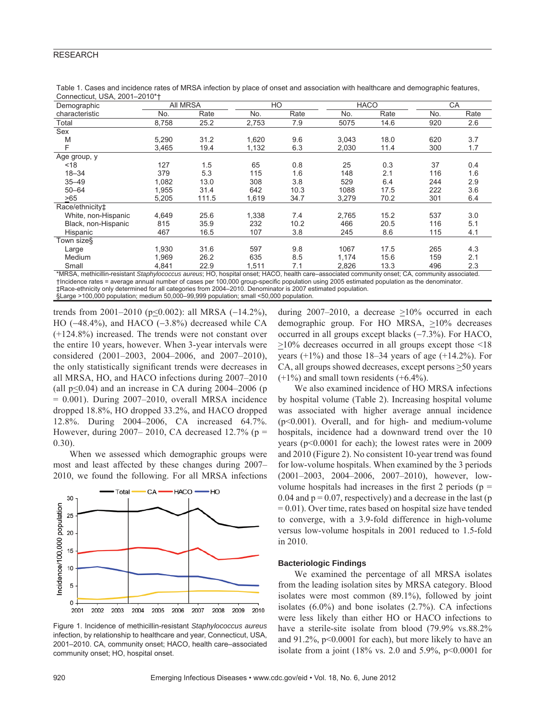| Demographic                                                                                                                                   | All MRSA |       | HO    |      | <b>HACO</b> |      | CA  |      |
|-----------------------------------------------------------------------------------------------------------------------------------------------|----------|-------|-------|------|-------------|------|-----|------|
| characteristic                                                                                                                                | No.      | Rate  | No.   | Rate | No.         | Rate | No. | Rate |
| Total                                                                                                                                         | 8,758    | 25.2  | 2,753 | 7.9  | 5075        | 14.6 | 920 | 2.6  |
| Sex                                                                                                                                           |          |       |       |      |             |      |     |      |
| M                                                                                                                                             | 5,290    | 31.2  | 1,620 | 9.6  | 3,043       | 18.0 | 620 | 3.7  |
| F                                                                                                                                             | 3,465    | 19.4  | 1,132 | 6.3  | 2,030       | 11.4 | 300 | 1.7  |
| Age group, y                                                                                                                                  |          |       |       |      |             |      |     |      |
| $<$ 18                                                                                                                                        | 127      | 1.5   | 65    | 0.8  | 25          | 0.3  | 37  | 0.4  |
| $18 - 34$                                                                                                                                     | 379      | 5.3   | 115   | 1.6  | 148         | 2.1  | 116 | 1.6  |
| $35 - 49$                                                                                                                                     | 1,082    | 13.0  | 308   | 3.8  | 529         | 6.4  | 244 | 2.9  |
| $50 - 64$                                                                                                                                     | 1,955    | 31.4  | 642   | 10.3 | 1088        | 17.5 | 222 | 3.6  |
| >65                                                                                                                                           | 5,205    | 111.5 | 1,619 | 34.7 | 3,279       | 70.2 | 301 | 6.4  |
| Race/ethnicity <sup>±</sup>                                                                                                                   |          |       |       |      |             |      |     |      |
| White, non-Hispanic                                                                                                                           | 4,649    | 25.6  | 1,338 | 7.4  | 2,765       | 15.2 | 537 | 3.0  |
| Black, non-Hispanic                                                                                                                           | 815      | 35.9  | 232   | 10.2 | 466         | 20.5 | 116 | 5.1  |
| Hispanic                                                                                                                                      | 467      | 16.5  | 107   | 3.8  | 245         | 8.6  | 115 | 4.1  |
| Town size§                                                                                                                                    |          |       |       |      |             |      |     |      |
| Large                                                                                                                                         | 1,930    | 31.6  | 597   | 9.8  | 1067        | 17.5 | 265 | 4.3  |
| Medium                                                                                                                                        | 1,969    | 26.2  | 635   | 8.5  | 1,174       | 15.6 | 159 | 2.1  |
| Small                                                                                                                                         | 4,841    | 22.9  | 1,511 | 7.1  | 2,826       | 13.3 | 496 | 2.3  |
| *MRSA methicillin-resistant Stanhylococcus aureus: HO bosnital onset: HACO health care-associated community onset: CA<br>community accociated |          |       |       |      |             |      |     |      |

Table 1. Cases and incidence rates of MRSA infection by place of onset and association with healthcare and demographic features, Connecticut, USA, 2001–2010\*†

\*MRSA, methicillin-resistant *Staphylococcus aureus*; HO, hospital onset; HACO, health care–associated community onset; CA, community associated. †Incidence rates = average annual number of cases per 100,000 group-specific population using 2005 estimated population as the denominator. ‡Race-ethnicity only determined for all categories from 2004–2010. Denominator is 2007 estimated population. §Large >100,000 population; medium 50,000–99,999 population; small <50,000 population.

trends from 2001–2010 (p≤0.002): all MRSA (-14.2%), HO (−48.4%), and HACO (−3.8%) decreased while CA (+124.8%) increased. The trends were not constant over the entire 10 years, however. When 3-year intervals were considered (2001–2003, 2004–2006, and 2007–2010), the only statistically significant trends were decreases in all MRSA, HO, and HACO infections during 2007–2010 (all  $p<0.04$ ) and an increase in CA during 2004–2006 (p  $= 0.001$ ). During 2007–2010, overall MRSA incidence dropped 18.8%, HO dropped 33.2%, and HACO dropped 12.8%. During 2004–2006, CA increased 64.7%. However, during 2007–2010, CA decreased 12.7% ( $p =$ 0.30).

When we assessed which demographic groups were most and least affected by these changes during 2007– 2010, we found the following. For all MRSA infections



Figure 1. Incidence of methicillin-resistant *Staphylococcus aureus* infection, by relationship to healthcare and year, Connecticut, USA, 2001–2010. CA, community onset; HACO, health care–associated community onset; HO, hospital onset.

during 2007–2010, a decrease  $\geq 10\%$  occurred in each demographic group. For HO MRSA,  $\geq 10\%$  decreases occurred in all groups except blacks (−7.3%). For HACO,  $\geq$ 10% decreases occurred in all groups except those <18 years  $(+1\%)$  and those 18–34 years of age  $(+14.2\%)$ . For CA, all groups showed decreases, except persons >50 years  $(+1%)$  and small town residents  $(+6.4%)$ .

We also examined incidence of HO MRSA infections by hospital volume (Table 2). Increasing hospital volume was associated with higher average annual incidence (p<0.001). Overall, and for high- and medium-volume hospitals, incidence had a downward trend over the 10 years (p<0.0001 for each); the lowest rates were in 2009 and 2010 (Figure 2). No consistent 10-year trend was found for low-volume hospitals. When examined by the 3 periods (2001–2003, 2004–2006, 2007–2010), however, lowvolume hospitals had increases in the first 2 periods ( $p =$ 0.04 and  $p = 0.07$ , respectively) and a decrease in the last (p  $= 0.01$ ). Over time, rates based on hospital size have tended to converge, with a 3.9-fold difference in high-volume versus low-volume hospitals in 2001 reduced to 1.5-fold in 2010.

#### **Bacteriologic Findings**

We examined the percentage of all MRSA isolates from the leading isolation sites by MRSA category. Blood isolates were most common (89.1%), followed by joint isolates  $(6.0\%)$  and bone isolates  $(2.7\%)$ . CA infections were less likely than either HO or HACO infections to have a sterile-site isolate from blood (79.9% vs.88.2%) and 91.2%, p<0.0001 for each), but more likely to have an isolate from a joint  $(18\% \text{ vs. } 2.0 \text{ and } 5.9\%, \text{ p} < 0.0001 \text{ for }$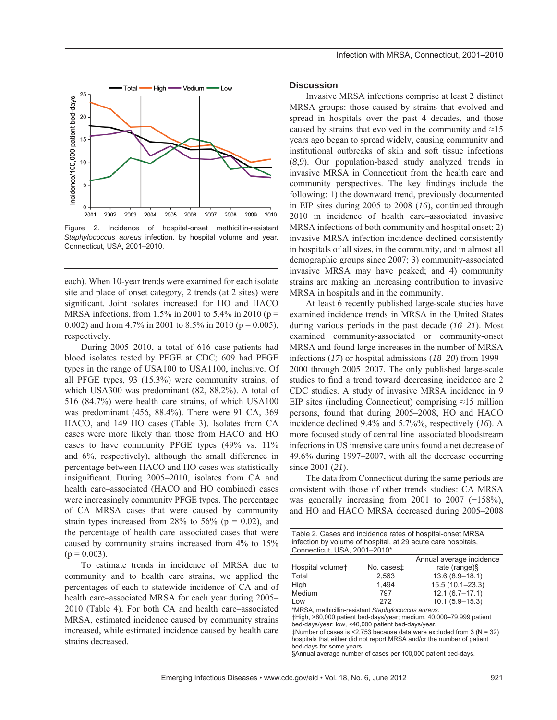

Figure 2. Incidence of hospital-onset methicillin-resistant *Staphylococcus aureus* infection, by hospital volume and year, Connecticut, USA, 2001–2010.

each). When 10-year trends were examined for each isolate site and place of onset category, 2 trends (at 2 sites) were significant. Joint isolates increased for HO and HACO MRSA infections, from 1.5% in 2001 to 5.4% in 2010 ( $p =$ 0.002) and from 4.7% in 2001 to 8.5% in 2010 ( $p = 0.005$ ), respectively.

During 2005–2010, a total of 616 case-patients had blood isolates tested by PFGE at CDC; 609 had PFGE types in the range of USA100 to USA1100, inclusive. Of all PFGE types, 93 (15.3%) were community strains, of which USA300 was predominant (82, 88.2%). A total of 516 (84.7%) were health care strains, of which USA100 was predominant (456, 88.4%). There were 91 CA, 369 HACO, and 149 HO cases (Table 3). Isolates from CA cases were more likely than those from HACO and HO cases to have community PFGE types (49% vs. 11% and 6%, respectively), although the small difference in percentage between HACO and HO cases was statistically insignificant. During 2005–2010, isolates from CA and health care–associated (HACO and HO combined) cases were increasingly community PFGE types. The percentage of CA MRSA cases that were caused by community strain types increased from 28% to 56% ( $p = 0.02$ ), and the percentage of health care–associated cases that were caused by community strains increased from 4% to 15%  $(p = 0.003)$ .

To estimate trends in incidence of MRSA due to community and to health care strains, we applied the percentages of each to statewide incidence of CA and of health care–associated MRSA for each year during 2005– 2010 (Table 4). For both CA and health care–associated MRSA, estimated incidence caused by community strains increased, while estimated incidence caused by health care strains decreased.

#### **Discussion**

Invasive MRSA infections comprise at least 2 distinct MRSA groups: those caused by strains that evolved and spread in hospitals over the past 4 decades, and those caused by strains that evolved in the community and  $\approx 15$ years ago began to spread widely, causing community and institutional outbreaks of skin and soft tissue infections (*8*,*9*). Our population-based study analyzed trends in invasive MRSA in Connecticut from the health care and community perspectives. The key findings include the following: 1) the downward trend, previously documented in EIP sites during 2005 to 2008 (*16*), continued through 2010 in incidence of health care–associated invasive MRSA infections of both community and hospital onset; 2) invasive MRSA infection incidence declined consistently in hospitals of all sizes, in the community, and in almost all demographic groups since 2007; 3) community-associated invasive MRSA may have peaked; and 4) community strains are making an increasing contribution to invasive MRSA in hospitals and in the community.

At least 6 recently published large-scale studies have examined incidence trends in MRSA in the United States during various periods in the past decade (*16*–*21*). Most examined community-associated or community-onset MRSA and found large increases in the number of MRSA infections (*17*) or hospital admissions (*18*–*20*) from 1999– 2000 through 2005–2007. The only published large-scale studies to find a trend toward decreasing incidence are 2 CDC studies. A study of invasive MRSA incidence in 9 EIP sites (including Connecticut) comprising  $\approx$ 15 million persons, found that during 2005–2008, HO and HACO incidence declined 9.4% and 5.7%%, respectively (*16*). A more focused study of central line–associated bloodstream infections in US intensive care units found a net decrease of 49.6% during 1997–2007, with all the decrease occurring since 2001 (*21*).

The data from Connecticut during the same periods are consistent with those of other trends studies: CA MRSA was generally increasing from 2001 to 2007 (+158%), and HO and HACO MRSA decreased during 2005–2008

| Table 2. Cases and incidence rates of hospital-onset MRSA<br>infection by volume of hospital, at 29 acute care hospitals,                                                                                                                                                       |                                                                                      |  |  |  |  |  |  |
|---------------------------------------------------------------------------------------------------------------------------------------------------------------------------------------------------------------------------------------------------------------------------------|--------------------------------------------------------------------------------------|--|--|--|--|--|--|
| Connecticut, USA, 2001-2010*                                                                                                                                                                                                                                                    |                                                                                      |  |  |  |  |  |  |
|                                                                                                                                                                                                                                                                                 | Annual average incidence                                                             |  |  |  |  |  |  |
|                                                                                                                                                                                                                                                                                 | rate (range) $§$                                                                     |  |  |  |  |  |  |
| 2,563                                                                                                                                                                                                                                                                           | $13.6(8.9 - 18.1)$                                                                   |  |  |  |  |  |  |
| 1.494                                                                                                                                                                                                                                                                           | $15.5(10.1 - 23.3)$                                                                  |  |  |  |  |  |  |
| 797                                                                                                                                                                                                                                                                             | $12.1(6.7-17.1)$                                                                     |  |  |  |  |  |  |
| 272                                                                                                                                                                                                                                                                             | $10.1(5.9 - 15.3)$                                                                   |  |  |  |  |  |  |
| *MRSA, methicillin-resistant Staphylococcus aureus.<br>+High, >80,000 patient bed-days/year; medium, 40,000-79,999 patient<br>bed-days/year; low, <40,000 patient bed-days/year.<br>$\text{\textsterling}$ Number of cases is <2,753 because data were excluded from 3 (N = 32) |                                                                                      |  |  |  |  |  |  |
|                                                                                                                                                                                                                                                                                 | No. cases‡<br>becautele that either did not renart MDCA and/er the number of nationt |  |  |  |  |  |  |

als that either did not report MRSA and/or the number of patient bed-days for some years.

§Annual average number of cases per 100,000 patient bed-days.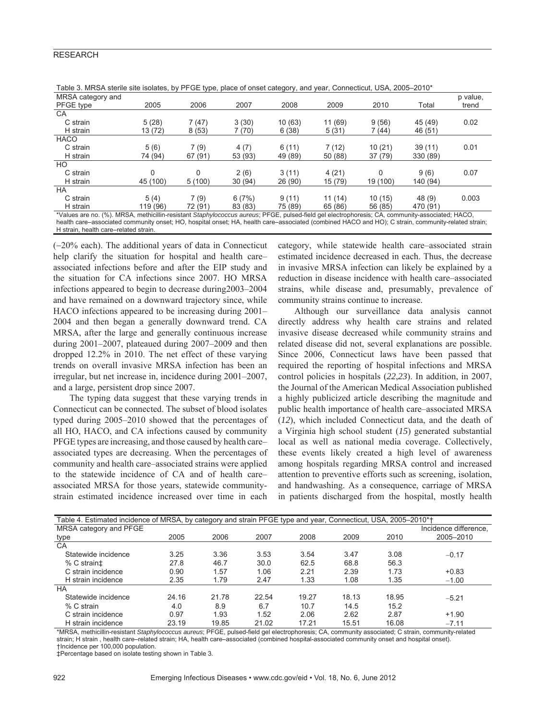#### **RESEARCH**

| Table 0. MITCH TOWNS ONE TOORICO, By THE CETTPO, PROGE OF ONOGE ORIGINAL TRINK YOU, OONING OUT, LOOD LOTG                                  |              |         |         |         |         |          |          |          |
|--------------------------------------------------------------------------------------------------------------------------------------------|--------------|---------|---------|---------|---------|----------|----------|----------|
| MRSA category and                                                                                                                          |              |         |         |         |         |          |          | p value, |
| PFGE type                                                                                                                                  | 2005         | 2006    | 2007    | 2008    | 2009    | 2010     | Total    | trend    |
| <b>CA</b>                                                                                                                                  |              |         |         |         |         |          |          |          |
| C strain                                                                                                                                   | 5(28)        | 7(47)   | 3(30)   | 10(63)  | 11 (69) | 9(56)    | 45 (49)  | 0.02     |
| H strain                                                                                                                                   | 13 (72)      | 8(53)   | 7(70)   | 6(38)   | 5(31)   | 7 (44)   | 46 (51)  |          |
| HACO                                                                                                                                       |              |         |         |         |         |          |          |          |
| C strain                                                                                                                                   | 5(6)         | 7(9)    | 4(7)    | 6(11)   | 7(12)   | 10(21)   | 39(11)   | 0.01     |
| H strain                                                                                                                                   | 74 (94)      | 67 (91) | 53 (93) | 49 (89) | 50 (88) | 37(79)   | 330 (89) |          |
| HO.                                                                                                                                        |              |         |         |         |         |          |          |          |
| C strain                                                                                                                                   | $\mathbf{0}$ | 0       | 2(6)    | 3(11)   | 4(21)   | 0        | 9(6)     | 0.07     |
| H strain                                                                                                                                   | 45 (100)     | 5(100)  | 30 (94) | 26 (90) | 15 (79) | 19 (100) | 140 (94) |          |
| HA                                                                                                                                         |              |         |         |         |         |          |          |          |
| C strain                                                                                                                                   | 5(4)         | 7(9)    | 6(7%)   | 9(11)   | 11(14)  | 10(15)   | 48 (9)   | 0.003    |
| H strain                                                                                                                                   | 119 (96)     | 72 (91) | 83 (83) | 75 (89) | 65 (86) | 56 (85)  | 470 (91) |          |
| *Values are no. (%) MRSA methicillin-resistant Stanbylococcus aureus: PEGE pulsed-field gel electrophoresis: CA community-associated: HACO |              |         |         |         |         |          |          |          |

Table 3. MRSA sterile site isolates, by PFGE type, place of onset category, and year, Connecticut, USA, 2005–2010\*

\*Values are no. (%). MRSA, methicillin-resistant *Staphylococcus aureus*; PFGE, pulsed-field gel electrophoresis; CA, community-associated; HACO, health care–associated community onset; HO, hospital onset; HA, health care–associated (combined HACO and HO); C strain, community-related strain; H strain, health care–related strain.

(−20% each). The additional years of data in Connecticut help clarify the situation for hospital and health care– associated infections before and after the EIP study and the situation for CA infections since 2007. HO MRSA infections appeared to begin to decrease during2003–2004 and have remained on a downward trajectory since, while HACO infections appeared to be increasing during 2001– 2004 and then began a generally downward trend. CA MRSA, after the large and generally continuous increase during 2001–2007, plateaued during 2007–2009 and then dropped 12.2% in 2010. The net effect of these varying trends on overall invasive MRSA infection has been an irregular, but net increase in, incidence during 2001–2007, and a large, persistent drop since 2007.

The typing data suggest that these varying trends in Connecticut can be connected. The subset of blood isolates typed during 2005–2010 showed that the percentages of all HO, HACO, and CA infections caused by community PFGE types are increasing, and those caused by health care– associated types are decreasing. When the percentages of community and health care–associated strains were applied to the statewide incidence of CA and of health care– associated MRSA for those years, statewide communitystrain estimated incidence increased over time in each category, while statewide health care–associated strain estimated incidence decreased in each. Thus, the decrease in invasive MRSA infection can likely be explained by a reduction in disease incidence with health care–associated strains, while disease and, presumably, prevalence of community strains continue to increase.

Although our surveillance data analysis cannot directly address why health care strains and related invasive disease decreased while community strains and related disease did not, several explanations are possible. Since 2006, Connecticut laws have been passed that required the reporting of hospital infections and MRSA control policies in hospitals (*22*,*23*). In addition, in 2007, the Journal of the American Medical Association published a highly publicized article describing the magnitude and public health importance of health care–associated MRSA (*12*), which included Connecticut data, and the death of a Virginia high school student (*15*) generated substantial local as well as national media coverage. Collectively, these events likely created a high level of awareness among hospitals regarding MRSA control and increased attention to preventive efforts such as screening, isolation, and handwashing. As a consequence, carriage of MRSA in patients discharged from the hospital, mostly health

| Table 4. Estimated incidence of MRSA, by category and strain PFGE type and year, Connecticut, USA, 2005–2010*† |       |       |       |       |       |                       |  |  |
|----------------------------------------------------------------------------------------------------------------|-------|-------|-------|-------|-------|-----------------------|--|--|
| MRSA category and PFGE                                                                                         |       |       |       |       |       | Incidence difference. |  |  |
| 2005                                                                                                           | 2006  | 2007  | 2008  | 2009  | 2010  | 2005-2010             |  |  |
|                                                                                                                |       |       |       |       |       |                       |  |  |
| 3.25                                                                                                           | 3.36  | 3.53  | 3.54  | 3.47  | 3.08  | $-0.17$               |  |  |
| 27.8                                                                                                           | 46.7  | 30.0  | 62.5  | 68.8  | 56.3  |                       |  |  |
| 0.90                                                                                                           | 1.57  | 1.06  | 2.21  | 2.39  | 1.73  | $+0.83$               |  |  |
| 2.35                                                                                                           | 1.79  | 2.47  | 1.33  | 1.08  | 1.35  | $-1.00$               |  |  |
|                                                                                                                |       |       |       |       |       |                       |  |  |
| 24.16                                                                                                          | 21.78 | 22.54 | 19.27 | 18.13 | 18.95 | $-5.21$               |  |  |
| 4.0                                                                                                            | 8.9   | 6.7   | 10.7  | 14.5  | 15.2  |                       |  |  |
| 0.97                                                                                                           | 1.93  | 1.52  | 2.06  | 2.62  | 2.87  | $+1.90$               |  |  |
| 23.19                                                                                                          | 19.85 | 21.02 | 17.21 | 15.51 | 16.08 | $-7.11$               |  |  |
|                                                                                                                |       |       |       |       |       |                       |  |  |

\*MRSA, methicillin-resistant *Staphylococcus aureus*; PFGE, pulsed-field gel electrophoresis; CA, community associated; C strain, community-related strain; H strain , health care–related strain; HA, health care–associated (combined hospital-associated community onset and hospital onset). †Incidence per 100,000 population.

‡Percentage based on isolate testing shown in Table 3.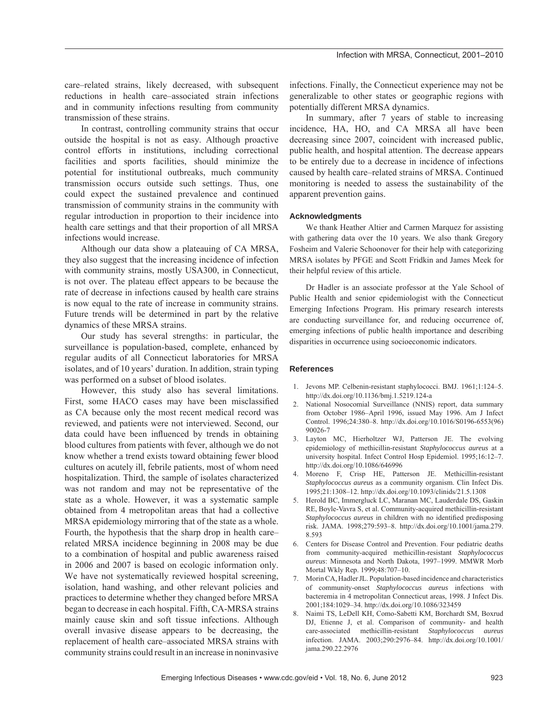care–related strains, likely decreased, with subsequent reductions in health care–associated strain infections and in community infections resulting from community transmission of these strains.

In contrast, controlling community strains that occur outside the hospital is not as easy. Although proactive control efforts in institutions, including correctional facilities and sports facilities, should minimize the potential for institutional outbreaks, much community transmission occurs outside such settings. Thus, one could expect the sustained prevalence and continued transmission of community strains in the community with regular introduction in proportion to their incidence into health care settings and that their proportion of all MRSA infections would increase.

Although our data show a plateauing of CA MRSA, they also suggest that the increasing incidence of infection with community strains, mostly USA300, in Connecticut, is not over. The plateau effect appears to be because the rate of decrease in infections caused by health care strains is now equal to the rate of increase in community strains. Future trends will be determined in part by the relative dynamics of these MRSA strains.

Our study has several strengths: in particular, the surveillance is population-based, complete, enhanced by regular audits of all Connecticut laboratories for MRSA isolates, and of 10 years' duration. In addition, strain typing was performed on a subset of blood isolates.

However, this study also has several limitations. First, some HACO cases may have been misclassified as CA because only the most recent medical record was reviewed, and patients were not interviewed. Second, our data could have been influenced by trends in obtaining blood cultures from patients with fever, although we do not know whether a trend exists toward obtaining fewer blood cultures on acutely ill, febrile patients, most of whom need hospitalization. Third, the sample of isolates characterized was not random and may not be representative of the state as a whole. However, it was a systematic sample obtained from 4 metropolitan areas that had a collective MRSA epidemiology mirroring that of the state as a whole. Fourth, the hypothesis that the sharp drop in health care– related MRSA incidence beginning in 2008 may be due to a combination of hospital and public awareness raised in 2006 and 2007 is based on ecologic information only. We have not systematically reviewed hospital screening, isolation, hand washing, and other relevant policies and practices to determine whether they changed before MRSA began to decrease in each hospital. Fifth, CA-MRSA strains mainly cause skin and soft tissue infections. Although overall invasive disease appears to be decreasing, the replacement of health care–associated MRSA strains with community strains could result in an increase in noninvasive

infections. Finally, the Connecticut experience may not be generalizable to other states or geographic regions with potentially different MRSA dynamics.

In summary, after 7 years of stable to increasing incidence, HA, HO, and CA MRSA all have been decreasing since 2007, coincident with increased public, public health, and hospital attention. The decrease appears to be entirely due to a decrease in incidence of infections caused by health care–related strains of MRSA. Continued monitoring is needed to assess the sustainability of the apparent prevention gains.

#### **Acknowledgments**

We thank Heather Altier and Carmen Marquez for assisting with gathering data over the 10 years. We also thank Gregory Fosheim and Valerie Schoonover for their help with categorizing MRSA isolates by PFGE and Scott Fridkin and James Meek for their helpful review of this article.

Dr Hadler is an associate professor at the Yale School of Public Health and senior epidemiologist with the Connecticut Emerging Infections Program. His primary research interests are conducting surveillance for, and reducing occurrence of, emerging infections of public health importance and describing disparities in occurrence using socioeconomic indicators.

#### **References**

- 1. Jevons MP. Celbenin-resistant staphylococci. BMJ. 1961;1:124–5. http://dx.doi.org/10.1136/bmj.1.5219.124-a
- 2. National Nosocomial Surveillance (NNIS) report, data summary from October 1986–April 1996, issued May 1996. Am J Infect Control. 1996;24:380–8. http://dx.doi.org/10.1016/S0196-6553(96) 90026-7
- 3. Layton MC, Hierholtzer WJ, Patterson JE. The evolving epidemiology of methicillin-resistant *Staphylococcus aureus* at a university hospital. Infect Control Hosp Epidemiol. 1995;16:12–7. http://dx.doi.org/10.1086/646996
- 4. Moreno F, Crisp HE, Patterson JE. Methicillin-resistant *Staphylococcus aureus* as a community organism. Clin Infect Dis. 1995;21:1308–12. http://dx.doi.org/10.1093/clinids/21.5.1308
- 5. Herold BC, Immergluck LC, Maranan MC, Lauderdale DS, Gaskin RE, Boyle-Vavra S, et al. Community-acquired methicillin-resistant *Staphylococcus aureus* in children with no identified predisposing risk. JAMA. 1998;279:593–8. http://dx.doi.org/10.1001/jama.279. 8.593
- 6. Centers for Disease Control and Prevention. Four pediatric deaths from community-acquired methicillin-resistant *Staphylococcus aureus*: Minnesota and North Dakota, 1997–1999. MMWR Morb Mortal Wkly Rep. 1999;48:707–10.
- 7. Morin CA, Hadler JL. Population-based incidence and characteristics of community-onset *Staphylococcus aureus* infections with bacteremia in 4 metropolitan Connecticut areas, 1998. J Infect Dis. 2001;184:1029–34. http://dx.doi.org/10.1086/323459
- 8. Naimi TS, LeDell KH, Como-Sabetti KM, Borchardt SM, Boxrud DJ, Etienne J, et al. Comparison of community- and health care-associated methicillin-resistant *Staphylococcus aureus* infection. JAMA. 2003;290:2976–84. http://dx.doi.org/10.1001/ jama.290.22.2976